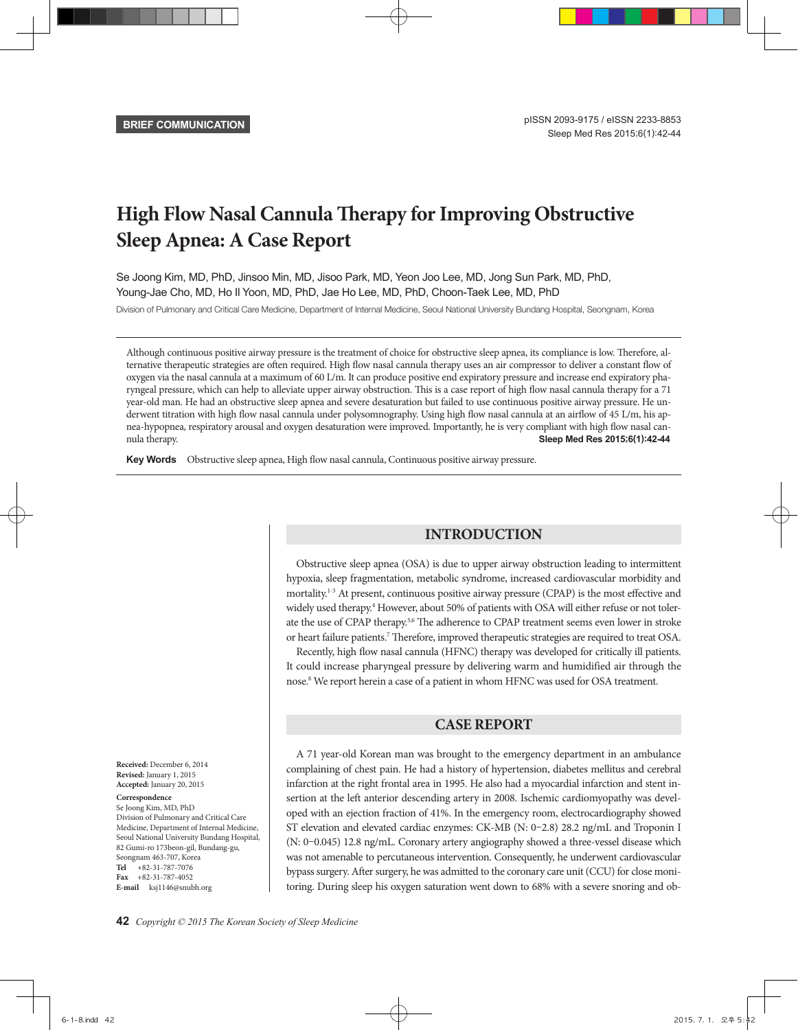# **High Flow Nasal Cannula Therapy for Improving Obstructive Sleep Apnea: A Case Report**

Se Joong Kim, MD, PhD, Jinsoo Min, MD, Jisoo Park, MD, Yeon Joo Lee, MD, Jong Sun Park, MD, PhD, Young-Jae Cho, MD, Ho Il Yoon, MD, PhD, Jae Ho Lee, MD, PhD, Choon-Taek Lee, MD, PhD

Division of Pulmonary and Critical Care Medicine, Department of Internal Medicine, Seoul National University Bundang Hospital, Seongnam, Korea

Although continuous positive airway pressure is the treatment of choice for obstructive sleep apnea, its compliance is low. Therefore, alternative therapeutic strategies are often required. High flow nasal cannula therapy uses an air compressor to deliver a constant flow of oxygen via the nasal cannula at a maximum of 60 L/m. It can produce positive end expiratory pressure and increase end expiratory pharyngeal pressure, which can help to alleviate upper airway obstruction. This is a case report of high flow nasal cannula therapy for a 71 year-old man. He had an obstructive sleep apnea and severe desaturation but failed to use continuous positive airway pressure. He underwent titration with high flow nasal cannula under polysomnography. Using high flow nasal cannula at an airflow of 45 L/m, his apnea-hypopnea, respiratory arousal and oxygen desaturation were improved. Importantly, he is very compliant with high flow nasal cannula therapy. **Sleep Med Res 2015;6(1):42-44**

Key Words Obstructive sleep apnea, High flow nasal cannula, Continuous positive airway pressure.

# **INTRODUCTION**

Obstructive sleep apnea (OSA) is due to upper airway obstruction leading to intermittent hypoxia, sleep fragmentation, metabolic syndrome, increased cardiovascular morbidity and mortality.<sup>1-3</sup> At present, continuous positive airway pressure (CPAP) is the most effective and widely used therapy.<sup>4</sup> However, about 50% of patients with OSA will either refuse or not tolerate the use of CPAP therapy.<sup>5,6</sup> The adherence to CPAP treatment seems even lower in stroke or heart failure patients.<sup>7</sup> Therefore, improved therapeutic strategies are required to treat OSA.

Recently, high flow nasal cannula (HFNC) therapy was developed for critically ill patients. It could increase pharyngeal pressure by delivering warm and humidified air through the nose.<sup>8</sup> We report herein a case of a patient in whom HFNC was used for OSA treatment.

# **CASE REPORT**

A 71 year-old Korean man was brought to the emergency department in an ambulance complaining of chest pain. He had a history of hypertension, diabetes mellitus and cerebral infarction at the right frontal area in 1995. He also had a myocardial infarction and stent insertion at the left anterior descending artery in 2008. Ischemic cardiomyopathy was developed with an ejection fraction of 41%. In the emergency room, electrocardiography showed ST elevation and elevated cardiac enzymes: CK-MB (N: 0–2.8) 28.2 ng/mL and Troponin I (N: 0–0.045) 12.8 ng/mL. Coronary artery angiography showed a three-vessel disease which was not amenable to percutaneous intervention. Consequently, he underwent cardiovascular bypass surgery. After surgery, he was admitted to the coronary care unit (CCU) for close monitoring. During sleep his oxygen saturation went down to 68% with a severe snoring and ob-

**Received:** December 6, 2014 **Revised:** January 1, 2015 **Accepted:** January 20, 2015

#### **Correspondence**

Se Joong Kim, MD, PhD Division of Pulmonary and Critical Care Medicine, Department of Internal Medicine, Seoul National University Bundang Hospital, 82 Gumi-ro 173beon-gil, Bundang-gu, Seongnam 463-707, Korea **Tel** +82-31-787-7076 **Fax** +82-31-787-4052 **E-mail** ksj1146@snubh.org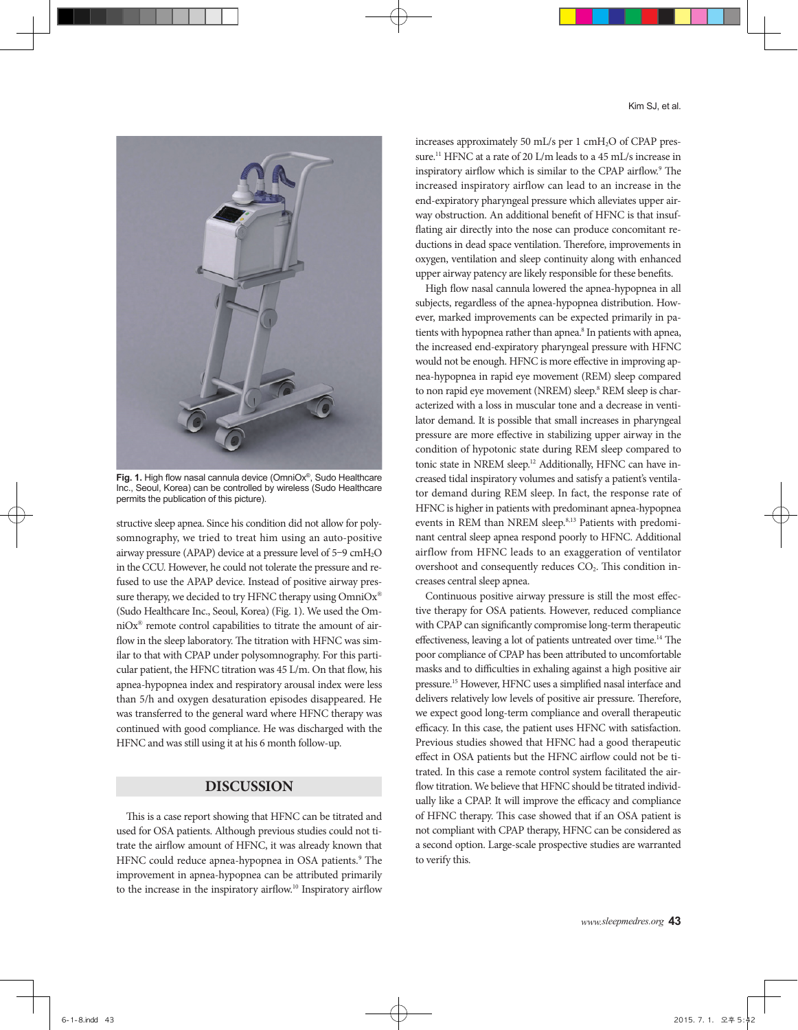

**Fig. 1.** High flow nasal cannula device (OmniOx®, Sudo Healthcare Inc., Seoul, Korea) can be controlled by wireless (Sudo Healthcare permits the publication of this picture).

structive sleep apnea. Since his condition did not allow for polysomnography, we tried to treat him using an auto-positive airway pressure (APAP) device at a pressure level of 5–9 cmH2O in the CCU. However, he could not tolerate the pressure and refused to use the APAP device. Instead of positive airway pressure therapy, we decided to try HFNC therapy using OmniOx® (Sudo Healthcare Inc., Seoul, Korea) (Fig. 1). We used the OmniOx® remote control capabilities to titrate the amount of airflow in the sleep laboratory. The titration with HFNC was similar to that with CPAP under polysomnography. For this particular patient, the HFNC titration was 45 L/m. On that flow, his apnea-hypopnea index and respiratory arousal index were less than 5/h and oxygen desaturation episodes disappeared. He was transferred to the general ward where HFNC therapy was continued with good compliance. He was discharged with the HFNC and was still using it at his 6 month follow-up.

## **DISCUSSION**

This is a case report showing that HFNC can be titrated and used for OSA patients. Although previous studies could not titrate the airflow amount of HFNC, it was already known that HFNC could reduce apnea-hypopnea in OSA patients.<sup>9</sup> The improvement in apnea-hypopnea can be attributed primarily to the increase in the inspiratory airflow.<sup>10</sup> Inspiratory airflow

increases approximately 50 mL/s per 1 cmH<sub>2</sub>O of CPAP pressure.11 HFNC at a rate of 20 L/m leads to a 45 mL/s increase in inspiratory airflow which is similar to the CPAP airflow.<sup>9</sup> The increased inspiratory airflow can lead to an increase in the end-expiratory pharyngeal pressure which alleviates upper airway obstruction. An additional benefit of HFNC is that insufflating air directly into the nose can produce concomitant reductions in dead space ventilation. Therefore, improvements in oxygen, ventilation and sleep continuity along with enhanced upper airway patency are likely responsible for these benefits.

High flow nasal cannula lowered the apnea-hypopnea in all subjects, regardless of the apnea-hypopnea distribution. However, marked improvements can be expected primarily in patients with hypopnea rather than apnea.<sup>8</sup> In patients with apnea, the increased end-expiratory pharyngeal pressure with HFNC would not be enough. HFNC is more effective in improving apnea-hypopnea in rapid eye movement (REM) sleep compared to non rapid eye movement (NREM) sleep.<sup>8</sup> REM sleep is characterized with a loss in muscular tone and a decrease in ventilator demand. It is possible that small increases in pharyngeal pressure are more effective in stabilizing upper airway in the condition of hypotonic state during REM sleep compared to tonic state in NREM sleep.<sup>12</sup> Additionally, HFNC can have increased tidal inspiratory volumes and satisfy a patient's ventilator demand during REM sleep. In fact, the response rate of HFNC is higher in patients with predominant apnea-hypopnea events in REM than NREM sleep.<sup>8,13</sup> Patients with predominant central sleep apnea respond poorly to HFNC. Additional airflow from HFNC leads to an exaggeration of ventilator overshoot and consequently reduces  $CO<sub>2</sub>$ . This condition increases central sleep apnea.

Continuous positive airway pressure is still the most effective therapy for OSA patients. However, reduced compliance with CPAP can significantly compromise long-term therapeutic effectiveness, leaving a lot of patients untreated over time.14 The poor compliance of CPAP has been attributed to uncomfortable masks and to difficulties in exhaling against a high positive air pressure.15 However, HFNC uses a simplified nasal interface and delivers relatively low levels of positive air pressure. Therefore, we expect good long-term compliance and overall therapeutic efficacy. In this case, the patient uses HFNC with satisfaction. Previous studies showed that HFNC had a good therapeutic effect in OSA patients but the HFNC airflow could not be titrated. In this case a remote control system facilitated the airflow titration. We believe that HFNC should be titrated individually like a CPAP. It will improve the efficacy and compliance of HFNC therapy. This case showed that if an OSA patient is not compliant with CPAP therapy, HFNC can be considered as a second option. Large-scale prospective studies are warranted to verify this.